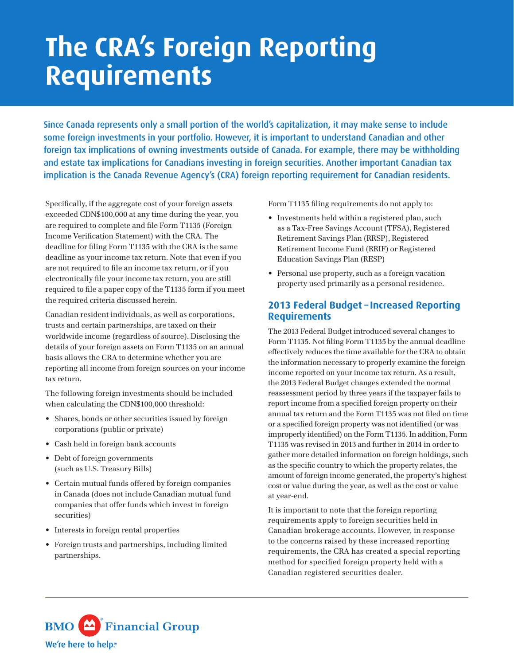## **The CRA's Foreign Reporting Requirements**

Since Canada represents only a small portion of the world's capitalization, it may make sense to include some foreign investments in your portfolio. However, it is important to understand Canadian and other foreign tax implications of owning investments outside of Canada. For example, there may be withholding and estate tax implications for Canadians investing in foreign securities. Another important Canadian tax implication is the Canada Revenue Agency's (CRA) foreign reporting requirement for Canadian residents.

Specifically, if the aggregate cost of your foreign assets exceeded CDN\$100,000 at any time during the year, you are required to complete and file Form T1135 (Foreign Income Verification Statement) with the CRA. The deadline for filing Form T1135 with the CRA is the same deadline as your income tax return. Note that even if you are not required to file an income tax return, or if you electronically file your income tax return, you are still required to file a paper copy of the T1135 form if you meet the required criteria discussed herein.

Canadian resident individuals, as well as corporations, trusts and certain partnerships, are taxed on their worldwide income (regardless of source). Disclosing the details of your foreign assets on Form T1135 on an annual basis allows the CRA to determine whether you are reporting all income from foreign sources on your income tax return.

The following foreign investments should be included when calculating the CDN\$100,000 threshold:

- Shares, bonds or other securities issued by foreign corporations (public or private)
- Cash held in foreign bank accounts
- Debt of foreign governments (such as U.S. Treasury Bills)
- Certain mutual funds offered by foreign companies in Canada (does not include Canadian mutual fund companies that offer funds which invest in foreign securities)
- Interests in foreign rental properties
- Foreign trusts and partnerships, including limited partnerships.

Form T1135 filing requirements do not apply to:

- Investments held within a registered plan, such as a Tax-Free Savings Account (TFSA), Registered Retirement Savings Plan (RRSP), Registered Retirement Income Fund (RRIF) or Registered Education Savings Plan (RESP)
- Personal use property, such as a foreign vacation property used primarily as a personal residence.

## **2013 Federal Budget – Increased Reporting Requirements**

The 2013 Federal Budget introduced several changes to Form T1135. Not filing Form T1135 by the annual deadline effectively reduces the time available for the CRA to obtain the information necessary to properly examine the foreign income reported on your income tax return. As a result, the 2013 Federal Budget changes extended the normal reassessment period by three years if the taxpayer fails to report income from a specified foreign property on their annual tax return and the Form T1135 was not filed on time or a specified foreign property was not identified (or was improperly identified) on the Form T1135. In addition, Form T1135 was revised in 2013 and further in 2014 in order to gather more detailed information on foreign holdings, such as the specific country to which the property relates, the amount of foreign income generated, the property's highest cost or value during the year, as well as the cost or value at year-end.

It is important to note that the foreign reporting requirements apply to foreign securities held in Canadian brokerage accounts. However, in response to the concerns raised by these increased reporting requirements, the CRA has created a special reporting method for specified foreign property held with a Canadian registered securities dealer.